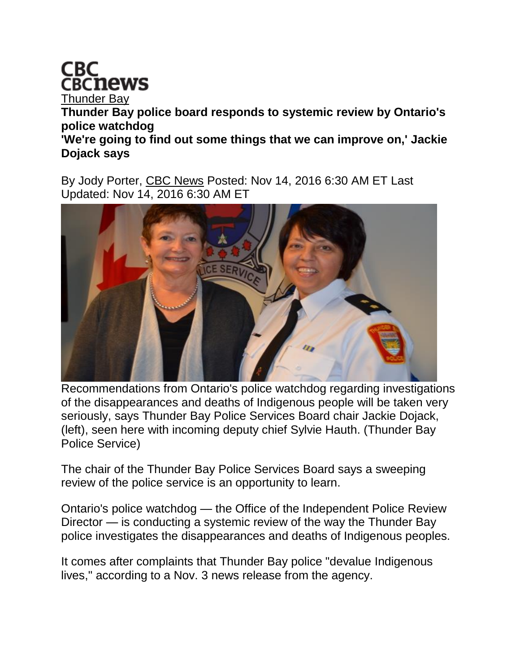

[Thunder Bay](http://www.cbc.ca/thunderbay/) **Thunder Bay police board responds to systemic review by Ontario's police watchdog 'We're going to find out some things that we can improve on,' Jackie Dojack says**

By Jody Porter, [CBC News](http://www.cbc.ca/news/cbc-news-online-news-staff-list-1.1294364) Posted: Nov 14, 2016 6:30 AM ET Last Updated: Nov 14, 2016 6:30 AM ET



Recommendations from Ontario's police watchdog regarding investigations of the disappearances and deaths of Indigenous people will be taken very seriously, says Thunder Bay Police Services Board chair Jackie Dojack, (left), seen here with incoming deputy chief Sylvie Hauth. (Thunder Bay Police Service)

The chair of the Thunder Bay Police Services Board says a sweeping review of the police service is an opportunity to learn.

Ontario's police watchdog — the Office of the Independent Police Review Director — is conducting a systemic review of the way the Thunder Bay police investigates the disappearances and deaths of Indigenous peoples.

It comes after complaints that Thunder Bay police "devalue Indigenous lives," according to a Nov. 3 news release from the agency.